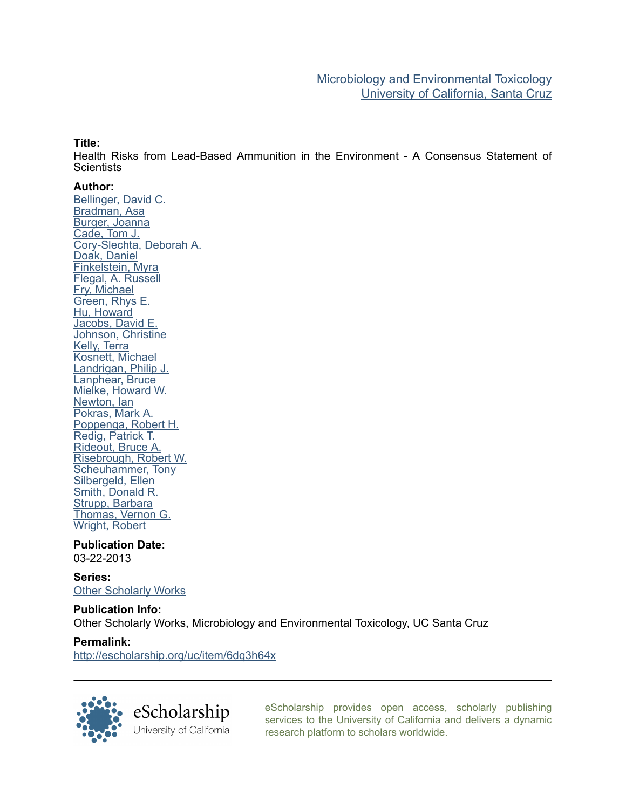### Title:

Health Risks from Lead-Based Ammunition in the Environment - A Consensus Statement of **Scientists** 

### Author:

[Bellinger, David C.](http://escholarship.org/uc/search?creator=Bellinger%2C%20David%20C.) [Bradman, Asa](http://escholarship.org/uc/search?creator=Bradman%2C%20Asa) [Burger, Joanna](http://escholarship.org/uc/search?creator=Burger%2C%20Joanna) [Cade, Tom J.](http://escholarship.org/uc/search?creator=Cade%2C%20Tom%20J.) [Cory-Slechta, Deborah A.](http://escholarship.org/uc/search?creator=Cory-Slechta%2C%20Deborah%20A.) [Doak, Daniel](http://escholarship.org/uc/search?creator=Doak%2C%20Daniel) [Finkelstein, Myra](http://escholarship.org/uc/search?creator=Finkelstein%2C%20Myra) [Flegal, A. Russell](http://escholarship.org/uc/search?creator=Flegal%2C%20A.%20Russell) [Fry, Michael](http://escholarship.org/uc/search?creator=Fry%2C%20Michael) [Green, Rhys E.](http://escholarship.org/uc/search?creator=Green%2C%20Rhys%20E.) [Hu, Howard](http://escholarship.org/uc/search?creator=Hu%2C%20Howard) [Jacobs, David E.](http://escholarship.org/uc/search?creator=Jacobs%2C%20David%20E.) [Johnson, Christine](http://escholarship.org/uc/search?creator=Johnson%2C%20Christine) [Kelly, Terra](http://escholarship.org/uc/search?creator=Kelly%2C%20Terra) [Kosnett, Michael](http://escholarship.org/uc/search?creator=Kosnett%2C%20Michael) [Landrigan, Philip J.](http://escholarship.org/uc/search?creator=Landrigan%2C%20Philip%20J.) [Lanphear, Bruce](http://escholarship.org/uc/search?creator=Lanphear%2C%20Bruce) [Mielke, Howard W.](http://escholarship.org/uc/search?creator=Mielke%2C%20Howard%20W.) [Newton, Ian](http://escholarship.org/uc/search?creator=Newton%2C%20Ian) [Pokras, Mark A.](http://escholarship.org/uc/search?creator=Pokras%2C%20Mark%20A.) [Poppenga, Robert H.](http://escholarship.org/uc/search?creator=Poppenga%2C%20Robert%20H.) [Redig, Patrick T.](http://escholarship.org/uc/search?creator=Redig%2C%20Patrick%20T.) [Rideout, Bruce A.](http://escholarship.org/uc/search?creator=Rideout%2C%20Bruce%20A.) [Risebrough, Robert W.](http://escholarship.org/uc/search?creator=Risebrough%2C%20Robert%20W.) [Scheuhammer, Tony](http://escholarship.org/uc/search?creator=Scheuhammer%2C%20Tony) [Silbergeld, Ellen](http://escholarship.org/uc/search?creator=Silbergeld%2C%20Ellen) [Smith, Donald R.](http://escholarship.org/uc/search?creator=Smith%2C%20Donald%20R.) [Strupp, Barbara](http://escholarship.org/uc/search?creator=Strupp%2C%20Barbara) [Thomas, Vernon G.](http://escholarship.org/uc/search?creator=Thomas%2C%20Vernon%20G.) [Wright, Robert](http://escholarship.org/uc/search?creator=Wright%2C%20Robert)

Publication Date: 03-22-2013

Series: [Other Scholarly Works](http://escholarship.org/uc/metx_other)

Publication Info: Other Scholarly Works, Microbiology and Environmental Toxicology, UC Santa Cruz

### Permalink:

<http://escholarship.org/uc/item/6dq3h64x>



[eScholarship provides open access, scholarly publishing](http://escholarship.org) [services to the University of California and delivers a dynamic](http://escholarship.org) [research platform to scholars worldwide.](http://escholarship.org)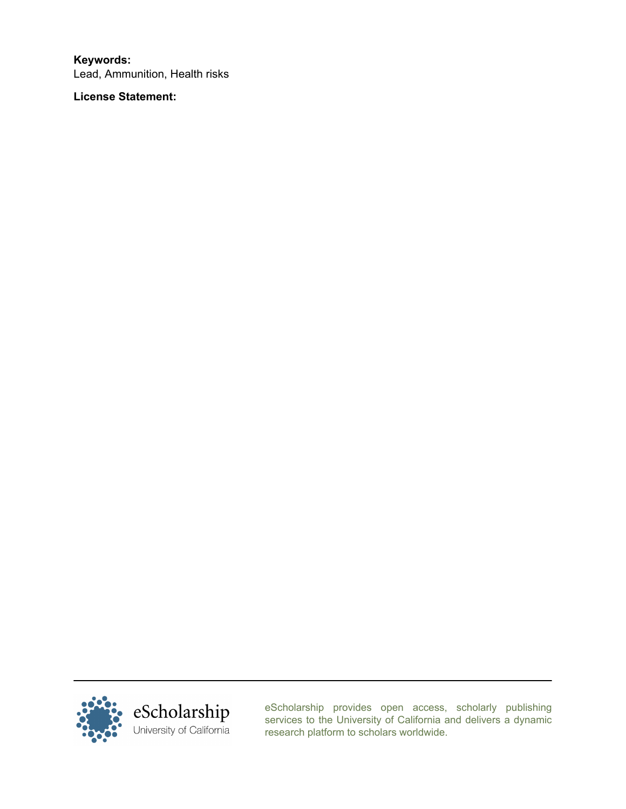Keywords: Lead, Ammunition, Health risks

License Statement:



[eScholarship provides open access, scholarly publishing](http://escholarship.org) [services to the University of California and delivers a dynamic](http://escholarship.org) [research platform to scholars worldwide.](http://escholarship.org)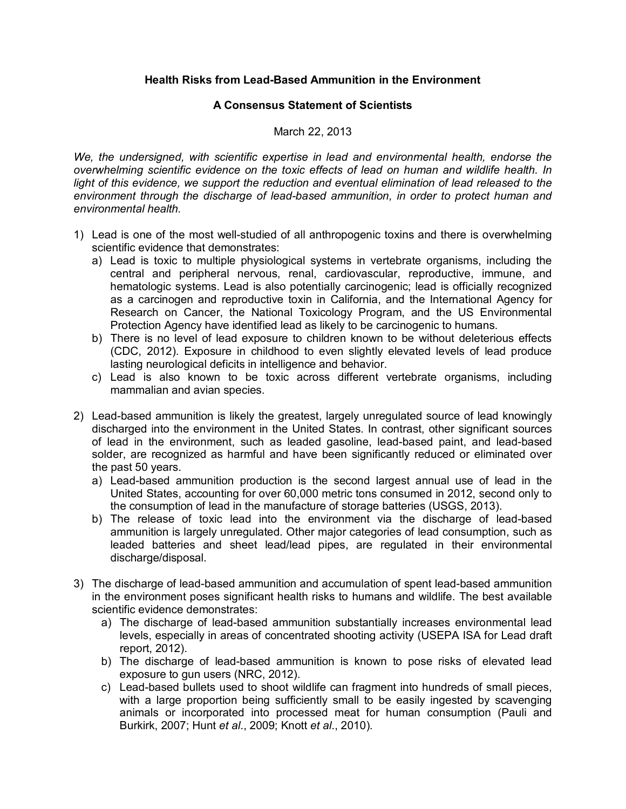# **Health Risks from Lead-Based Ammunition in the Environment**

## **A Consensus Statement of Scientists**

## March 22, 2013

*We, the undersigned, with scientific expertise in lead and environmental health, endorse the overwhelming scientific evidence on the toxic effects of lead on human and wildlife health. In light of this evidence, we support the reduction and eventual elimination of lead released to the environment through the discharge of lead-based ammunition, in order to protect human and environmental health.* 

- 1) Lead is one of the most well-studied of all anthropogenic toxins and there is overwhelming scientific evidence that demonstrates:
	- a) Lead is toxic to multiple physiological systems in vertebrate organisms, including the central and peripheral nervous, renal, cardiovascular, reproductive, immune, and hematologic systems. Lead is also potentially carcinogenic; lead is officially recognized as a carcinogen and reproductive toxin in California, and the International Agency for Research on Cancer, the National Toxicology Program, and the US Environmental Protection Agency have identified lead as likely to be carcinogenic to humans.
	- b) There is no level of lead exposure to children known to be without deleterious effects (CDC, 2012). Exposure in childhood to even slightly elevated levels of lead produce lasting neurological deficits in intelligence and behavior.
	- c) Lead is also known to be toxic across different vertebrate organisms, including mammalian and avian species.
- 2) Lead-based ammunition is likely the greatest, largely unregulated source of lead knowingly discharged into the environment in the United States. In contrast, other significant sources of lead in the environment, such as leaded gasoline, lead-based paint, and lead-based solder, are recognized as harmful and have been significantly reduced or eliminated over the past 50 years.
	- a) Lead-based ammunition production is the second largest annual use of lead in the United States, accounting for over 60,000 metric tons consumed in 2012, second only to the consumption of lead in the manufacture of storage batteries (USGS, 2013).
	- b) The release of toxic lead into the environment via the discharge of lead-based ammunition is largely unregulated. Other major categories of lead consumption, such as leaded batteries and sheet lead/lead pipes, are regulated in their environmental discharge/disposal.
- 3) The discharge of lead-based ammunition and accumulation of spent lead-based ammunition in the environment poses significant health risks to humans and wildlife. The best available scientific evidence demonstrates:
	- a) The discharge of lead-based ammunition substantially increases environmental lead levels, especially in areas of concentrated shooting activity (USEPA ISA for Lead draft report, 2012).
	- b) The discharge of lead-based ammunition is known to pose risks of elevated lead exposure to gun users (NRC, 2012).
	- c) Lead-based bullets used to shoot wildlife can fragment into hundreds of small pieces, with a large proportion being sufficiently small to be easily ingested by scavenging animals or incorporated into processed meat for human consumption (Pauli and Burkirk, 2007; Hunt *et al*., 2009; Knott *et al*., 2010).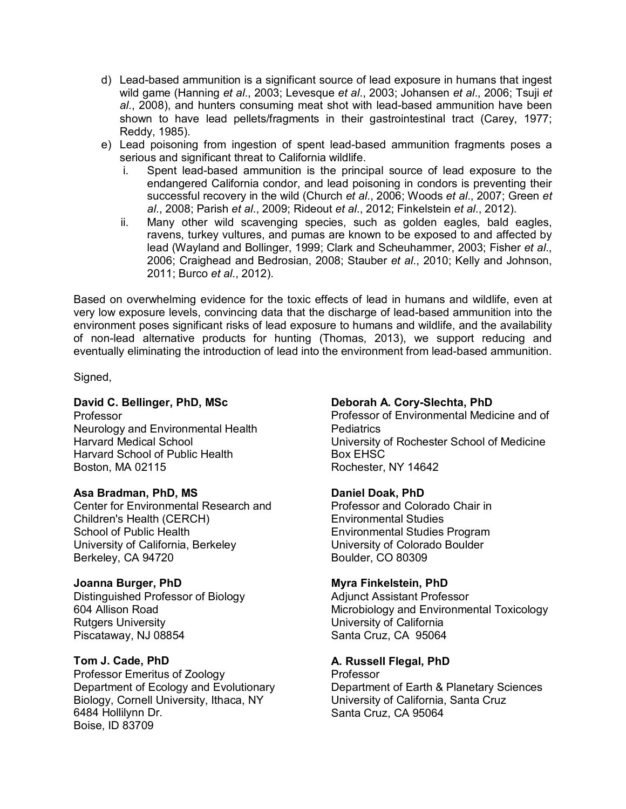- d) Lead-based ammunition is a significant source of lead exposure in humans that ingest wild game (Hanning *et al*., 2003; Levesque *et al*., 2003; Johansen *et al*., 2006; Tsuji *et al*., 2008), and hunters consuming meat shot with lead-based ammunition have been shown to have lead pellets/fragments in their gastrointestinal tract (Carey, 1977; Reddy, 1985).
- e) Lead poisoning from ingestion of spent lead-based ammunition fragments poses a serious and significant threat to California wildlife.
	- i. Spent lead-based ammunition is the principal source of lead exposure to the endangered California condor, and lead poisoning in condors is preventing their successful recovery in the wild (Church *et al*., 2006; Woods *et al*., 2007; Green *et al*., 2008; Parish *et al*., 2009; Rideout *et al*., 2012; Finkelstein *et al*., 2012).
	- ii. Many other wild scavenging species, such as golden eagles, bald eagles, ravens, turkey vultures, and pumas are known to be exposed to and affected by lead (Wayland and Bollinger, 1999; Clark and Scheuhammer, 2003; Fisher *et al*., 2006; Craighead and Bedrosian, 2008; Stauber *et al*., 2010; Kelly and Johnson, 2011; Burco *et al*., 2012).

Based on overwhelming evidence for the toxic effects of lead in humans and wildlife, even at very low exposure levels, convincing data that the discharge of lead-based ammunition into the environment poses significant risks of lead exposure to humans and wildlife, and the availability of non-lead alternative products for hunting (Thomas, 2013), we support reducing and eventually eliminating the introduction of lead into the environment from lead-based ammunition.

Signed,

# **David C. Bellinger, PhD, MSc**

Professor Neurology and Environmental Health Harvard Medical School Harvard School of Public Health Boston, MA 02115

### **Asa Bradman, PhD, MS**

Center for Environmental Research and Children's Health (CERCH) School of Public Health University of California, Berkeley Berkeley, CA 94720

# **Joanna Burger, PhD**

Distinguished Professor of Biology 604 Allison Road Rutgers University Piscataway, NJ 08854

# **Tom J. Cade, PhD**

Professor Emeritus of Zoology Department of Ecology and Evolutionary Biology, Cornell University, Ithaca, NY 6484 Hollilynn Dr. Boise, ID 83709

# **Deborah A. Cory-Slechta, PhD**

Professor of Environmental Medicine and of **Pediatrics** University of Rochester School of Medicine Box EHSC Rochester, NY 14642

### **Daniel Doak, PhD**

Professor and Colorado Chair in Environmental Studies Environmental Studies Program University of Colorado Boulder Boulder, CO 80309

# **Myra Finkelstein, PhD**

Adjunct Assistant Professor Microbiology and Environmental Toxicology University of California Santa Cruz, CA 95064

# **A. Russell Flegal, PhD**

Professor Department of Earth & Planetary Sciences University of California, Santa Cruz Santa Cruz, CA 95064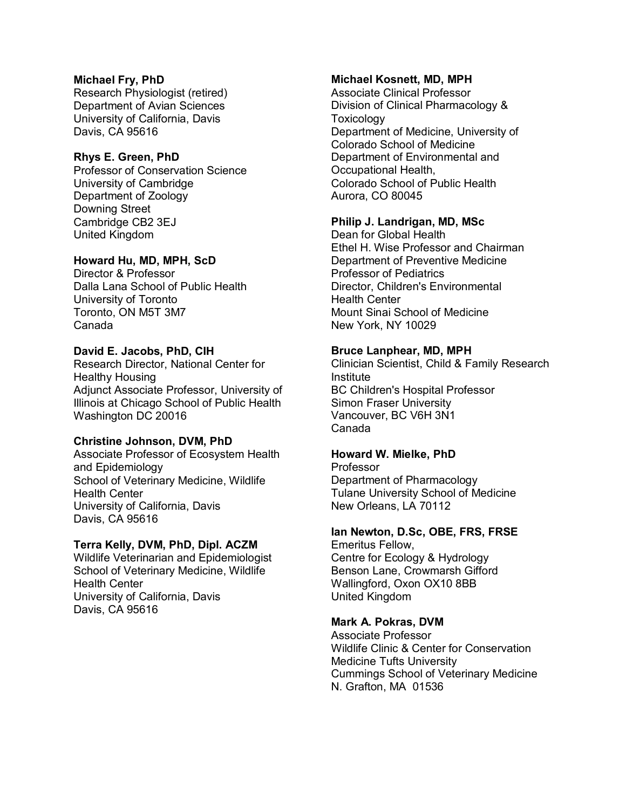## **Michael Fry, PhD**

Research Physiologist (retired) Department of Avian Sciences University of California, Davis Davis, CA 95616

## **Rhys E. Green, PhD**

Professor of Conservation Science University of Cambridge Department of Zoology Downing Street Cambridge CB2 3EJ United Kingdom

## **Howard Hu, MD, MPH, ScD**

Director & Professor Dalla Lana School of Public Health University of Toronto Toronto, ON M5T 3M7 Canada

## **David E. Jacobs, PhD, CIH**

Research Director, National Center for Healthy Housing Adjunct Associate Professor, University of Illinois at Chicago School of Public Health Washington DC 20016

### **Christine Johnson, DVM, PhD**

Associate Professor of Ecosystem Health and Epidemiology School of Veterinary Medicine, Wildlife Health Center University of California, Davis Davis, CA 95616

### **Terra Kelly, DVM, PhD, Dipl. ACZM**

Wildlife Veterinarian and Epidemiologist School of Veterinary Medicine, Wildlife Health Center University of California, Davis Davis, CA 95616

## **Michael Kosnett, MD, MPH**

Associate Clinical Professor Division of Clinical Pharmacology & **Toxicology** Department of Medicine, University of Colorado School of Medicine Department of Environmental and Occupational Health, Colorado School of Public Health Aurora, CO 80045

# **Philip J. Landrigan, MD, MSc**

Dean for Global Health Ethel H. Wise Professor and Chairman Department of Preventive Medicine Professor of Pediatrics Director, Children's Environmental Health Center Mount Sinai School of Medicine New York, NY 10029

## **Bruce Lanphear, MD, MPH**

Clinician Scientist, Child & Family Research Institute BC Children's Hospital Professor Simon Fraser University Vancouver, BC V6H 3N1 Canada

### **Howard W. Mielke, PhD**

Professor Department of Pharmacology Tulane University School of Medicine New Orleans, LA 70112

### **Ian Newton, D.Sc, OBE, FRS, FRSE**

Emeritus Fellow, Centre for Ecology & Hydrology Benson Lane, Crowmarsh Gifford Wallingford, Oxon OX10 8BB United Kingdom

### **Mark A. Pokras, DVM**

Associate Professor Wildlife Clinic & Center for Conservation Medicine Tufts University Cummings School of Veterinary Medicine N. Grafton, MA 01536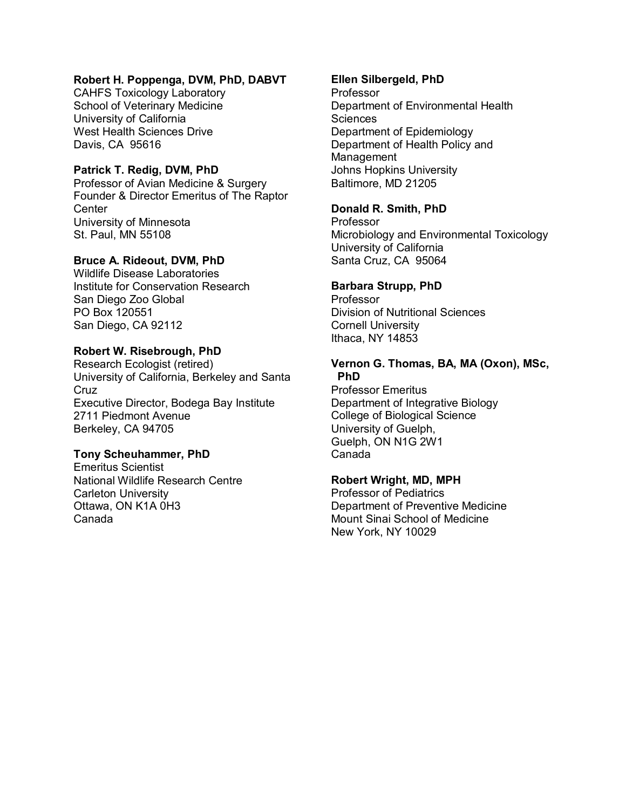## **Robert H. Poppenga, DVM, PhD, DABVT**

CAHFS Toxicology Laboratory School of Veterinary Medicine University of California West Health Sciences Drive Davis, CA 95616

# **Patrick T. Redig, DVM, PhD**

Professor of Avian Medicine & Surgery Founder & Director Emeritus of The Raptor **Center** University of Minnesota St. Paul, MN 55108

# **Bruce A. Rideout, DVM, PhD**

Wildlife Disease Laboratories Institute for Conservation Research San Diego Zoo Global PO Box 120551 San Diego, CA 92112

## **Robert W. Risebrough, PhD**

Research Ecologist (retired) University of California, Berkeley and Santa Cruz Executive Director, Bodega Bay Institute 2711 Piedmont Avenue Berkeley, CA 94705

# **Tony Scheuhammer, PhD**

Emeritus Scientist National Wildlife Research Centre Carleton University Ottawa, ON K1A 0H3 Canada

## **Ellen Silbergeld, PhD**

Professor Department of Environmental Health **Sciences** Department of Epidemiology Department of Health Policy and Management Johns Hopkins University Baltimore, MD 21205

## **Donald R. Smith, PhD**

Professor Microbiology and Environmental Toxicology University of California Santa Cruz, CA 95064

## **Barbara Strupp, PhD**

Professor Division of Nutritional Sciences Cornell University Ithaca, NY 14853

### **Vernon G. Thomas, BA, MA (Oxon), MSc, PhD**

Professor Emeritus Department of Integrative Biology College of Biological Science University of Guelph, Guelph, ON N1G 2W1 Canada

# **Robert Wright, MD, MPH**

Professor of Pediatrics Department of Preventive Medicine Mount Sinai School of Medicine New York, NY 10029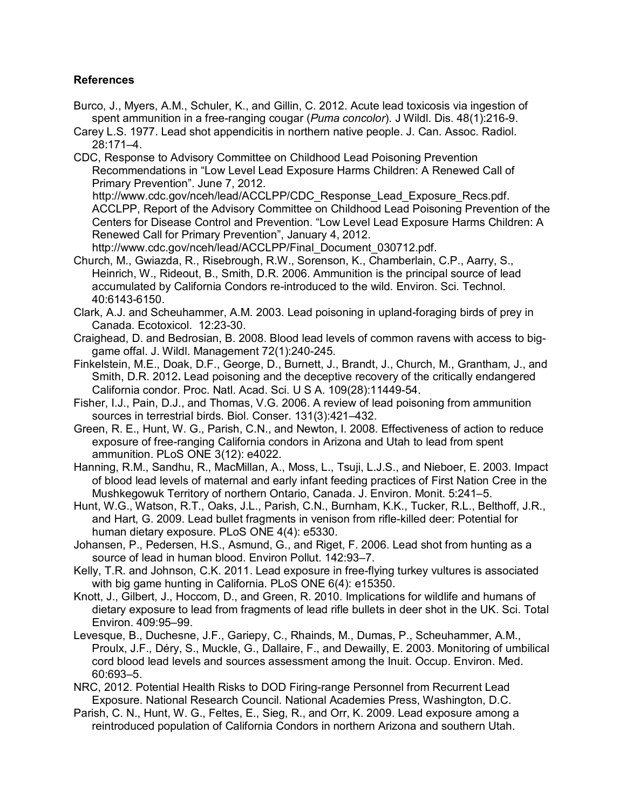# **References**

- [Burco,](http://www.ncbi.nlm.nih.gov/pubmed?term=Burco%20J%5BAuthor%5D&cauthor=true&cauthor_uid=22247395) J., [Myers,](http://www.ncbi.nlm.nih.gov/pubmed?term=Myers%20AM%5BAuthor%5D&cauthor=true&cauthor_uid=22247395) A.M., [Schuler,](http://www.ncbi.nlm.nih.gov/pubmed?term=Schuler%20K%5BAuthor%5D&cauthor=true&cauthor_uid=22247395) K., and [Gillin,](http://www.ncbi.nlm.nih.gov/pubmed?term=Gillin%20C%5BAuthor%5D&cauthor=true&cauthor_uid=22247395) C. 2012. Acute lead toxicosis via ingestion of spent ammunition in a free-ranging cougar (*Puma concolor*). J [Wildl.](http://www.ncbi.nlm.nih.gov/pubmed/22247395) Dis. 48(1):216-9.
- Carey L.S. 1977. Lead shot appendicitis in northern native people. J. Can. Assoc. Radiol. 28:171–4.
- CDC, Response to Advisory Committee on Childhood Lead Poisoning Prevention Recommendations in "Low Level Lead Exposure Harms Children: A Renewed Call of Primary Prevention". June 7, 2012.

 http://www.cdc.gov/nceh/lead/ACCLPP/CDC\_Response\_Lead\_Exposure\_Recs.pdf. ACCLPP, Report of the Advisory Committee on Childhood Lead Poisoning Prevention of the Centers for Disease Control and Prevention. "Low Level Lead Exposure Harms Children: A Renewed Call for Primary Prevention", January 4, 2012.

- http://www.cdc.gov/nceh/lead/ACCLPP/Final\_Document\_030712.pdf. Church, M., Gwiazda, R., Risebrough, R.W., Sorenson, K., Chamberlain, C.P., Aarry, S., Heinrich, W., Rideout, B., Smith, D.R. 2006. Ammunition is the principal source of lead accumulated by California Condors re-introduced to the wild. Environ. Sci. Technol. 40:6143-6150.
- Clark, A.J. and Scheuhammer, A.M. 2003. Lead poisoning in upland-foraging birds of prey in Canada. [Ecotoxicol.](http://link.springer.com/journal/10646) 12:23-30.
- Craighead, D. and Bedrosian, B. 2008. Blood lead levels of common ravens with access to biggame offal. J. Wildl. Management 72(1):240-245.
- Finkelstein, M.E., Doak, D.F., George, D., Burnett, J., Brandt, J., Church, M., Grantham, J., and Smith, D.R. 2012**.** Lead poisoning and the deceptive recovery of the critically endangered California condor. Proc. Natl. Acad. Sci. U S A. 109(28):11449-54.
- Fisher, I.J., Pain, D.J., and Thomas, V.G. 2006. A review of lead poisoning from ammunition sources in terrestrial birds. Biol. [Conser.](http://www.sciencedirect.com/science/journal/00063207) [131\(3\):4](http://www.sciencedirect.com/science/journal/00063207)21–432.
- Green, R. E., Hunt, W. G., Parish, C.N., and Newton, I. 2008. Effectiveness of action to reduce exposure of free-ranging California condors in Arizona and Utah to lead from spent ammunition. PLoS ONE 3(12): e4022.
- Hanning, R.M., Sandhu, R., MacMillan, A., Moss, L., Tsuji, L.J.S., and Nieboer, E. 2003. Impact of blood lead levels of maternal and early infant feeding practices of First Nation Cree in the Mushkegowuk Territory of northern Ontario, Canada. J. Environ. Monit. 5:241–5.
- Hunt, W.G., Watson, R.T., Oaks, J.L., Parish, C.N., Burnham, K.K., Tucker, R.L., Belthoff, J.R., and Hart, G. 2009. Lead bullet fragments in venison from rifle-killed deer: Potential for human dietary exposure. PLoS ONE 4(4): e5330.
- Johansen, P., Pedersen, H.S., Asmund, G., and Riget, F. 2006. Lead shot from hunting as a source of lead in human blood. Environ Pollut. 142:93–7.
- Kelly, T.R. and Johnson, C.K. 2011. Lead exposure in free-flying turkey vultures is associated with big game hunting in California. PLoS ONE 6(4): e15350.
- Knott, J., Gilbert, J., Hoccom, D., and Green, R. 2010. Implications for wildlife and humans of dietary exposure to lead from fragments of lead rifle bullets in deer shot in the UK. Sci. Total Environ. 409:95–99.
- Levesque, B., Duchesne, J.F., Gariepy, C., Rhainds, M., Dumas, P., Scheuhammer, A.M., Proulx, J.F., Déry, S., Muckle, G., Dallaire, F., and Dewailly, E. 2003. Monitoring of umbilical cord blood lead levels and sources assessment among the Inuit. Occup. Environ. Med. 60:693–5.
- NRC, 2012. Potential Health Risks to DOD Firing-range Personnel from Recurrent Lead Exposure. National Research Council. National Academies Press, Washington, D.C.
- Parish, C. N., Hunt, W. G., Feltes, E., Sieg, R., and Orr, K. 2009. Lead exposure among a reintroduced population of California Condors in northern Arizona and southern Utah.